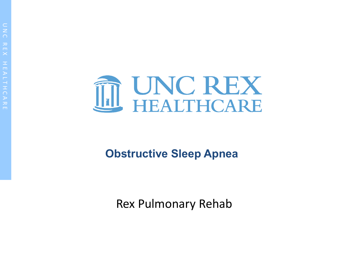

### **Obstructive Sleep Apnea**

Rex Pulmonary Rehab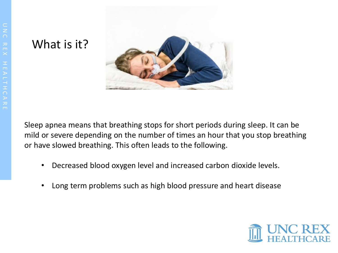#### What is it?



Sleep apnea means that breathing stops for short periods during sleep. It can be mild or severe depending on the number of times an hour that you stop breathing or have slowed breathing. This often leads to the following.

- Decreased blood oxygen level and increased carbon dioxide levels.
- Long term problems such as high blood pressure and heart disease

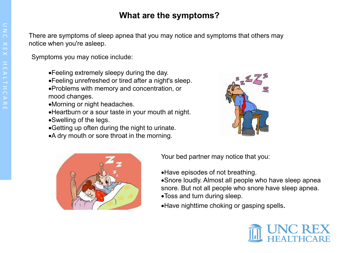#### **What are the symptoms?**

There are symptoms of sleep apnea that you may notice and symptoms that others may notice when you're asleep.

Symptoms you may notice include:

- •Feeling extremely sleepy during the day.
- •Feeling unrefreshed or tired after a night's sleep.
- •Problems with memory and concentration, or mood changes.
- •Morning or night headaches.
- •Heartburn or a sour taste in your mouth at night. •Swelling of the legs.
- •Getting up often during the night to urinate.
- •A dry mouth or sore throat in the morning.





Your bed partner may notice that you:

•Have episodes of not breathing.

•Snore loudly. Almost all people who have sleep apnea snore. But not all people who snore have sleep apnea.

- •Toss and turn during sleep.
- •Have nighttime choking or gasping spells.

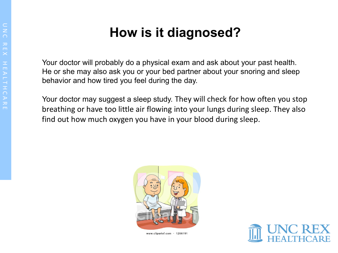## **How is it diagnosed?**

Your doctor will probably do a physical exam and ask about your past health. He or she may also ask you or your bed partner about your snoring and sleep behavior and how tired you feel during the day.

Your doctor may suggest a sleep study. They will check for how often you stop breathing or have too little air flowing into your lungs during sleep. They also find out how much oxygen you have in your blood during sleep.



www.clipartof.com · 1266191

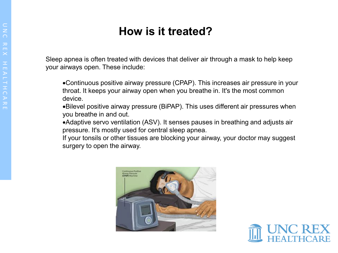### **How is it treated?**

Sleep apnea is often treated with devices that deliver air through a mask to help keep your airways open. These include:

•Continuous positive airway pressure (CPAP). This increases air pressure in your throat. It keeps your airway open when you breathe in. It's the most common device.

•Bilevel positive airway pressure (BiPAP). This uses different air pressures when you breathe in and out.

•Adaptive servo ventilation (ASV). It senses pauses in breathing and adjusts air pressure. It's mostly used for central sleep apnea.

If your tonsils or other tissues are blocking your airway, your doctor may suggest surgery to open the airway.



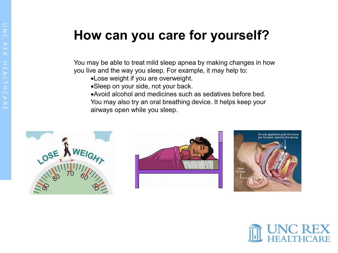# **How can you care for yourself?**

You may be able to treat mild sleep apnea by making changes in how you live and the way you sleep. For example, it may help to:

- •Lose weight if you are overweight.
- •Sleep on your side, not your back.
- •Avoid alcohol and medicines such as sedatives before bed. You may also try an oral breathing device. It helps keep your airways open while you sleep.